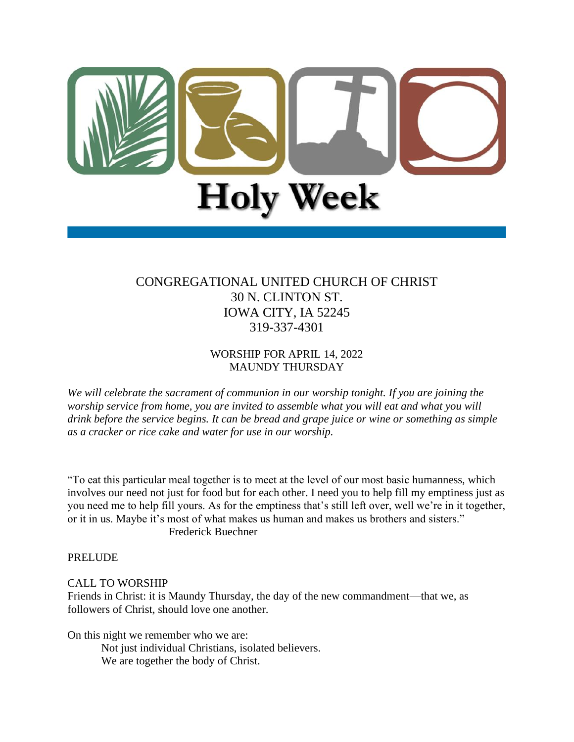

# CONGREGATIONAL UNITED CHURCH OF CHRIST 30 N. CLINTON ST. IOWA CITY, IA 52245 319-337-4301

## WORSHIP FOR APRIL 14, 2022 MAUNDY THURSDAY

*We will celebrate the sacrament of communion in our worship tonight. If you are joining the worship service from home, you are invited to assemble what you will eat and what you will drink before the service begins. It can be bread and grape juice or wine or something as simple as a cracker or rice cake and water for use in our worship.* 

"To eat this particular meal together is to meet at the level of our most basic humanness, which involves our need not just for food but for each other. I need you to help fill my emptiness just as you need me to help fill yours. As for the emptiness that's still left over, well we're in it together, or it in us. Maybe it's most of what makes us human and makes us brothers and sisters." Frederick Buechner

PRELUDE

# CALL TO WORSHIP

Friends in Christ: it is Maundy Thursday, the day of the new commandment—that we, as followers of Christ, should love one another.

On this night we remember who we are:

Not just individual Christians, isolated believers. We are together the body of Christ.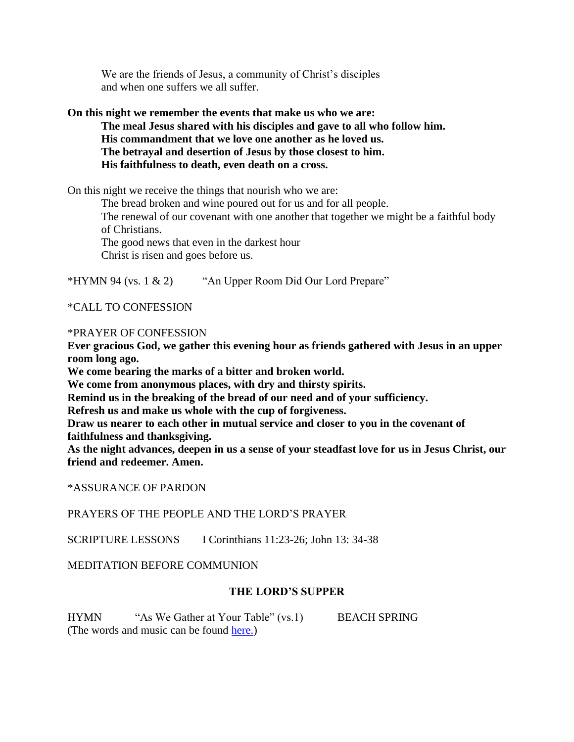We are the friends of Jesus, a community of Christ's disciples and when one suffers we all suffer.

#### **On this night we remember the events that make us who we are: The meal Jesus shared with his disciples and gave to all who follow him. His commandment that we love one another as he loved us. The betrayal and desertion of Jesus by those closest to him. His faithfulness to death, even death on a cross.**

On this night we receive the things that nourish who we are:

The bread broken and wine poured out for us and for all people. The renewal of our covenant with one another that together we might be a faithful body

of Christians.

The good news that even in the darkest hour

Christ is risen and goes before us.

\*HYMN 94 (vs. 1 & 2) "An Upper Room Did Our Lord Prepare"

\*CALL TO CONFESSION

#### \*PRAYER OF CONFESSION

**Ever gracious God, we gather this evening hour as friends gathered with Jesus in an upper room long ago.** 

**We come bearing the marks of a bitter and broken world.** 

**We come from anonymous places, with dry and thirsty spirits.** 

**Remind us in the breaking of the bread of our need and of your sufficiency.**

**Refresh us and make us whole with the cup of forgiveness.** 

**Draw us nearer to each other in mutual service and closer to you in the covenant of faithfulness and thanksgiving.** 

**As the night advances, deepen in us a sense of your steadfast love for us in Jesus Christ, our friend and redeemer. Amen.**

\*ASSURANCE OF PARDON

PRAYERS OF THE PEOPLE AND THE LORD'S PRAYER

SCRIPTURE LESSONS I Corinthians 11:23-26; John 13: 34-38

MEDITATION BEFORE COMMUNION

### **THE LORD'S SUPPER**

HYMN "As We Gather at Your Table" (vs.1) BEACH SPRING (The words and music can be found [here.\)](https://hymnary.org/hymn/WAR2003/695?instrument=existing)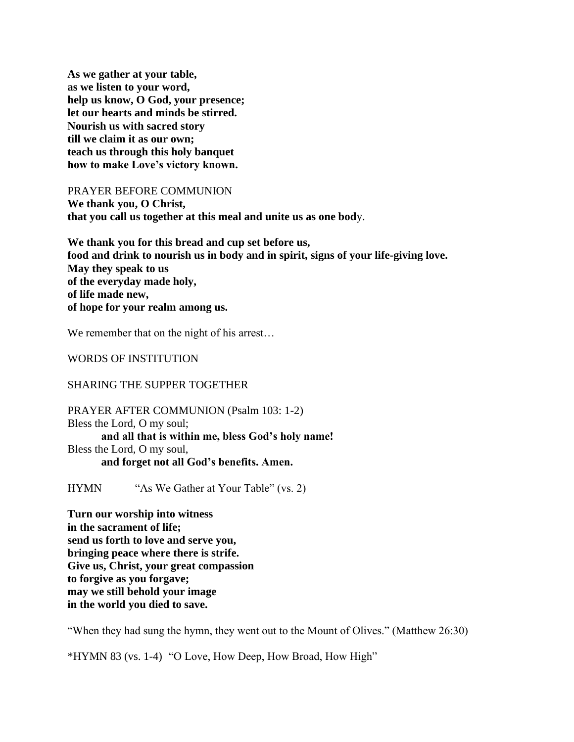**As we gather at your table, as we listen to your word, help us know, O God, your presence; let our hearts and minds be stirred. Nourish us with sacred story till we claim it as our own; teach us through this holy banquet how to make Love's victory known.**

PRAYER BEFORE COMMUNION

**We thank you, O Christ, that you call us together at this meal and unite us as one bod**y.

**We thank you for this bread and cup set before us, food and drink to nourish us in body and in spirit, signs of your life-giving love. May they speak to us of the everyday made holy, of life made new, of hope for your realm among us.**

We remember that on the night of his arrest...

WORDS OF INSTITUTION

#### SHARING THE SUPPER TOGETHER

PRAYER AFTER COMMUNION (Psalm 103: 1-2) Bless the Lord, O my soul; **and all that is within me, bless God's holy name!** Bless the Lord, O my soul, **and forget not all God's benefits. Amen.**

HYMN "As We Gather at Your Table" (vs. 2)

**Turn our worship into witness in the sacrament of life; send us forth to love and serve you, bringing peace where there is strife. Give us, Christ, your great compassion to forgive as you forgave; may we still behold your image in the world you died to save.**

"When they had sung the hymn, they went out to the Mount of Olives." (Matthew 26:30)

\*HYMN 83 (vs. 1-4) "O Love, How Deep, How Broad, How High"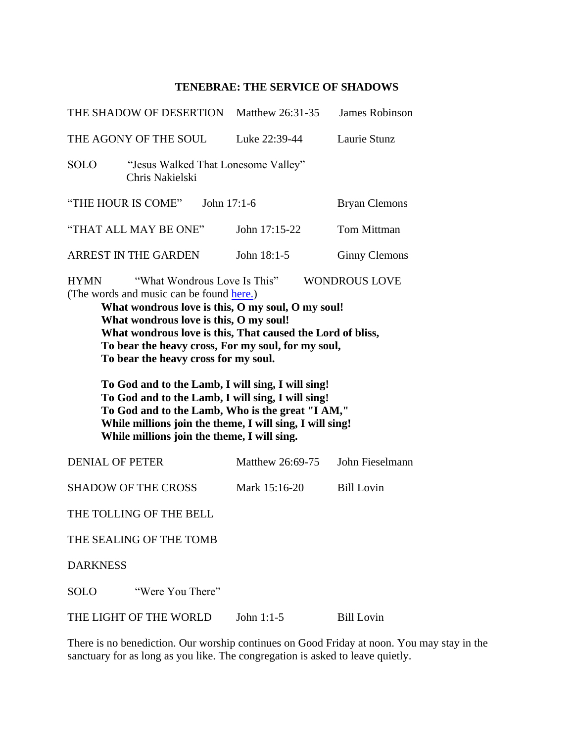## **TENEBRAE: THE SERVICE OF SHADOWS**

|                                                                                                                                                                                                                                                                                                                                                                                                                                                                                                                                                                              | THE SHADOW OF DESERTION                                | Matthew 26:31-35 | <b>James Robinson</b> |
|------------------------------------------------------------------------------------------------------------------------------------------------------------------------------------------------------------------------------------------------------------------------------------------------------------------------------------------------------------------------------------------------------------------------------------------------------------------------------------------------------------------------------------------------------------------------------|--------------------------------------------------------|------------------|-----------------------|
|                                                                                                                                                                                                                                                                                                                                                                                                                                                                                                                                                                              | THE AGONY OF THE SOUL                                  | Luke 22:39-44    | Laurie Stunz          |
| <b>SOLO</b>                                                                                                                                                                                                                                                                                                                                                                                                                                                                                                                                                                  | "Jesus Walked That Lonesome Valley"<br>Chris Nakielski |                  |                       |
|                                                                                                                                                                                                                                                                                                                                                                                                                                                                                                                                                                              | "THE HOUR IS COME"<br>John 17:1-6                      |                  | <b>Bryan Clemons</b>  |
|                                                                                                                                                                                                                                                                                                                                                                                                                                                                                                                                                                              | "THAT ALL MAY BE ONE"                                  | John 17:15-22    | <b>Tom Mittman</b>    |
|                                                                                                                                                                                                                                                                                                                                                                                                                                                                                                                                                                              | <b>ARREST IN THE GARDEN</b>                            | John 18:1-5      | <b>Ginny Clemons</b>  |
| (The words and music can be found here.)<br>What wondrous love is this, O my soul, O my soul!<br>What wondrous love is this, O my soul!<br>What wondrous love is this, That caused the Lord of bliss,<br>To bear the heavy cross, For my soul, for my soul,<br>To bear the heavy cross for my soul.<br>To God and to the Lamb, I will sing, I will sing!<br>To God and to the Lamb, I will sing, I will sing!<br>To God and to the Lamb, Who is the great "I AM,"<br>While millions join the theme, I will sing, I will sing!<br>While millions join the theme, I will sing. |                                                        |                  |                       |
|                                                                                                                                                                                                                                                                                                                                                                                                                                                                                                                                                                              |                                                        |                  |                       |
| <b>DENIAL OF PETER</b>                                                                                                                                                                                                                                                                                                                                                                                                                                                                                                                                                       |                                                        | Matthew 26:69-75 | John Fieselmann       |
|                                                                                                                                                                                                                                                                                                                                                                                                                                                                                                                                                                              | <b>SHADOW OF THE CROSS</b>                             | Mark 15:16-20    | <b>Bill Lovin</b>     |
|                                                                                                                                                                                                                                                                                                                                                                                                                                                                                                                                                                              | THE TOLLING OF THE BELL                                |                  |                       |
|                                                                                                                                                                                                                                                                                                                                                                                                                                                                                                                                                                              | THE SEALING OF THE TOMB                                |                  |                       |
| <b>DARKNESS</b>                                                                                                                                                                                                                                                                                                                                                                                                                                                                                                                                                              |                                                        |                  |                       |
| <b>SOLO</b>                                                                                                                                                                                                                                                                                                                                                                                                                                                                                                                                                                  | "Were You There"                                       |                  |                       |

There is no benediction. Our worship continues on Good Friday at noon. You may stay in the sanctuary for as long as you like. The congregation is asked to leave quietly.